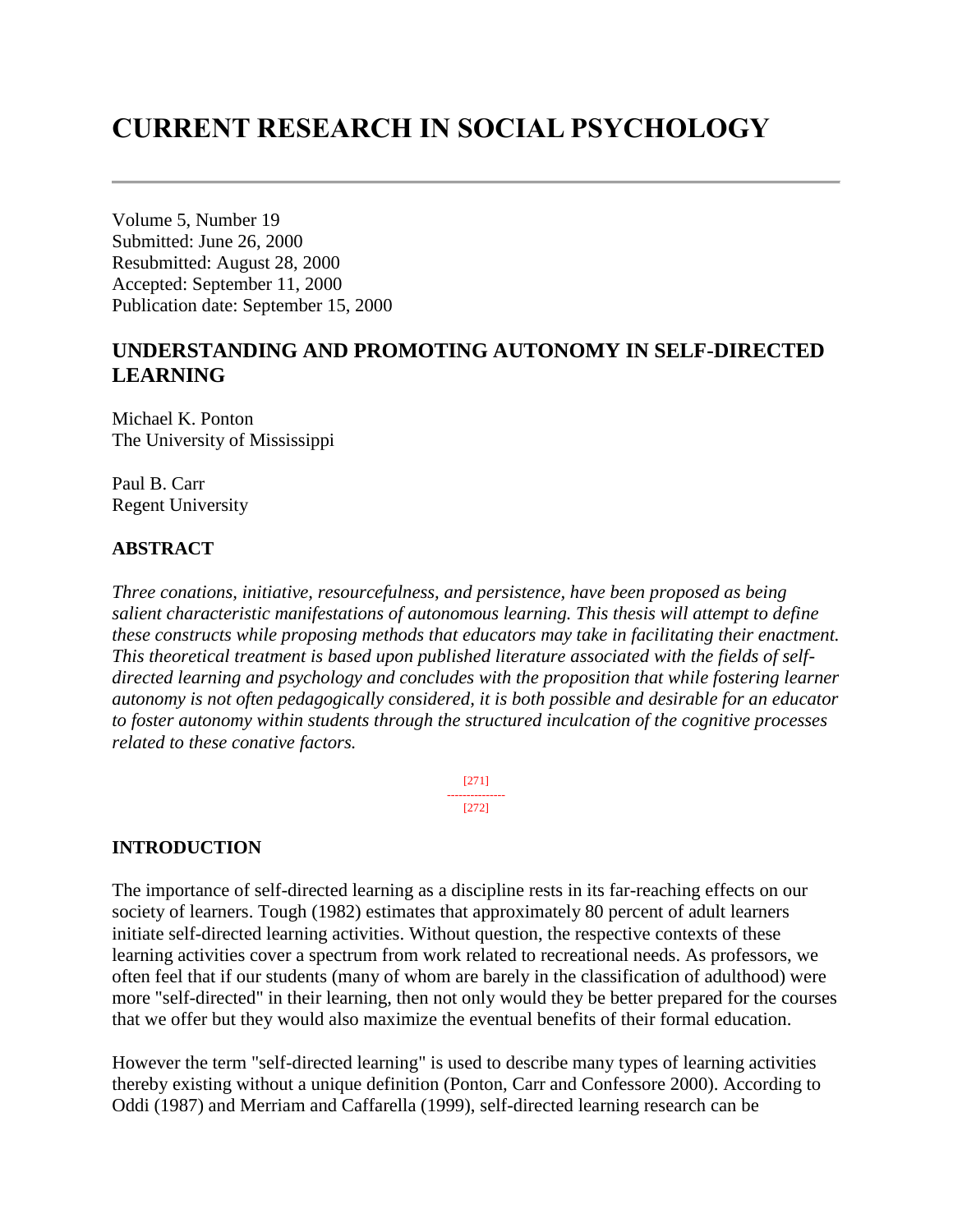# **CURRENT RESEARCH IN SOCIAL PSYCHOLOGY**

Volume 5, Number 19 Submitted: June 26, 2000 Resubmitted: August 28, 2000 Accepted: September 11, 2000 Publication date: September 15, 2000

## **UNDERSTANDING AND PROMOTING AUTONOMY IN SELF-DIRECTED LEARNING**

Michael K. Ponton The University of Mississippi

Paul B. Carr Regent University

#### **ABSTRACT**

*Three conations, initiative, resourcefulness, and persistence, have been proposed as being salient characteristic manifestations of autonomous learning. This thesis will attempt to define these constructs while proposing methods that educators may take in facilitating their enactment. This theoretical treatment is based upon published literature associated with the fields of selfdirected learning and psychology and concludes with the proposition that while fostering learner autonomy is not often pedagogically considered, it is both possible and desirable for an educator to foster autonomy within students through the structured inculcation of the cognitive processes related to these conative factors.*

> [271] --------------- [272]

## **INTRODUCTION**

The importance of self-directed learning as a discipline rests in its far-reaching effects on our society of learners. Tough (1982) estimates that approximately 80 percent of adult learners initiate self-directed learning activities. Without question, the respective contexts of these learning activities cover a spectrum from work related to recreational needs. As professors, we often feel that if our students (many of whom are barely in the classification of adulthood) were more "self-directed" in their learning, then not only would they be better prepared for the courses that we offer but they would also maximize the eventual benefits of their formal education.

However the term "self-directed learning" is used to describe many types of learning activities thereby existing without a unique definition (Ponton, Carr and Confessore 2000). According to Oddi (1987) and Merriam and Caffarella (1999), self-directed learning research can be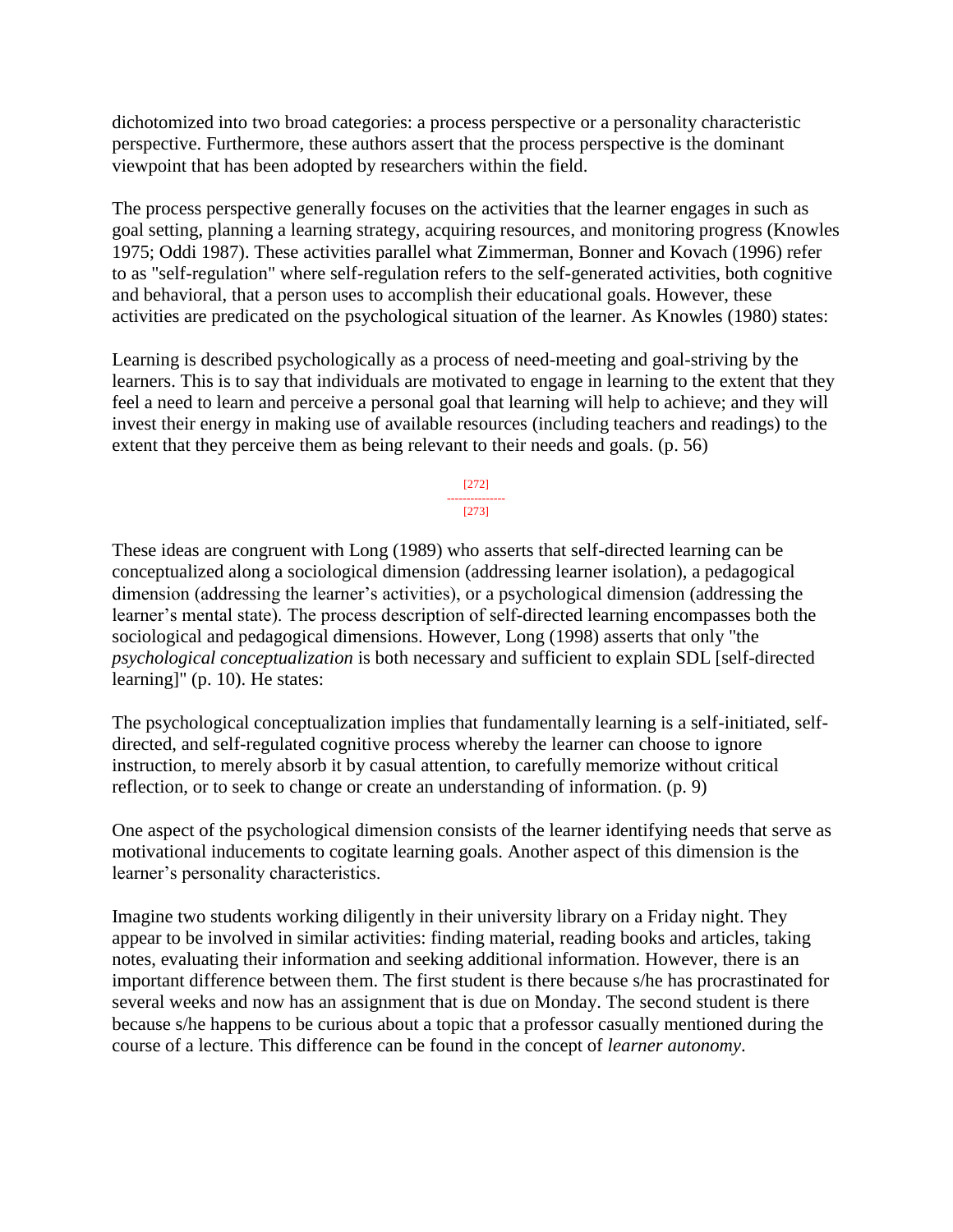dichotomized into two broad categories: a process perspective or a personality characteristic perspective. Furthermore, these authors assert that the process perspective is the dominant viewpoint that has been adopted by researchers within the field.

The process perspective generally focuses on the activities that the learner engages in such as goal setting, planning a learning strategy, acquiring resources, and monitoring progress (Knowles 1975; Oddi 1987). These activities parallel what Zimmerman, Bonner and Kovach (1996) refer to as "self-regulation" where self-regulation refers to the self-generated activities, both cognitive and behavioral, that a person uses to accomplish their educational goals. However, these activities are predicated on the psychological situation of the learner. As Knowles (1980) states:

Learning is described psychologically as a process of need-meeting and goal-striving by the learners. This is to say that individuals are motivated to engage in learning to the extent that they feel a need to learn and perceive a personal goal that learning will help to achieve; and they will invest their energy in making use of available resources (including teachers and readings) to the extent that they perceive them as being relevant to their needs and goals. (p. 56)

> [272] --------------- [273]

These ideas are congruent with Long (1989) who asserts that self-directed learning can be conceptualized along a sociological dimension (addressing learner isolation), a pedagogical dimension (addressing the learner's activities), or a psychological dimension (addressing the learner's mental state). The process description of self-directed learning encompasses both the sociological and pedagogical dimensions. However, Long (1998) asserts that only "the *psychological conceptualization* is both necessary and sufficient to explain SDL [self-directed learning]" (p. 10). He states:

The psychological conceptualization implies that fundamentally learning is a self-initiated, selfdirected, and self-regulated cognitive process whereby the learner can choose to ignore instruction, to merely absorb it by casual attention, to carefully memorize without critical reflection, or to seek to change or create an understanding of information. (p. 9)

One aspect of the psychological dimension consists of the learner identifying needs that serve as motivational inducements to cogitate learning goals. Another aspect of this dimension is the learner's personality characteristics.

Imagine two students working diligently in their university library on a Friday night. They appear to be involved in similar activities: finding material, reading books and articles, taking notes, evaluating their information and seeking additional information. However, there is an important difference between them. The first student is there because s/he has procrastinated for several weeks and now has an assignment that is due on Monday. The second student is there because s/he happens to be curious about a topic that a professor casually mentioned during the course of a lecture. This difference can be found in the concept of *learner autonomy*.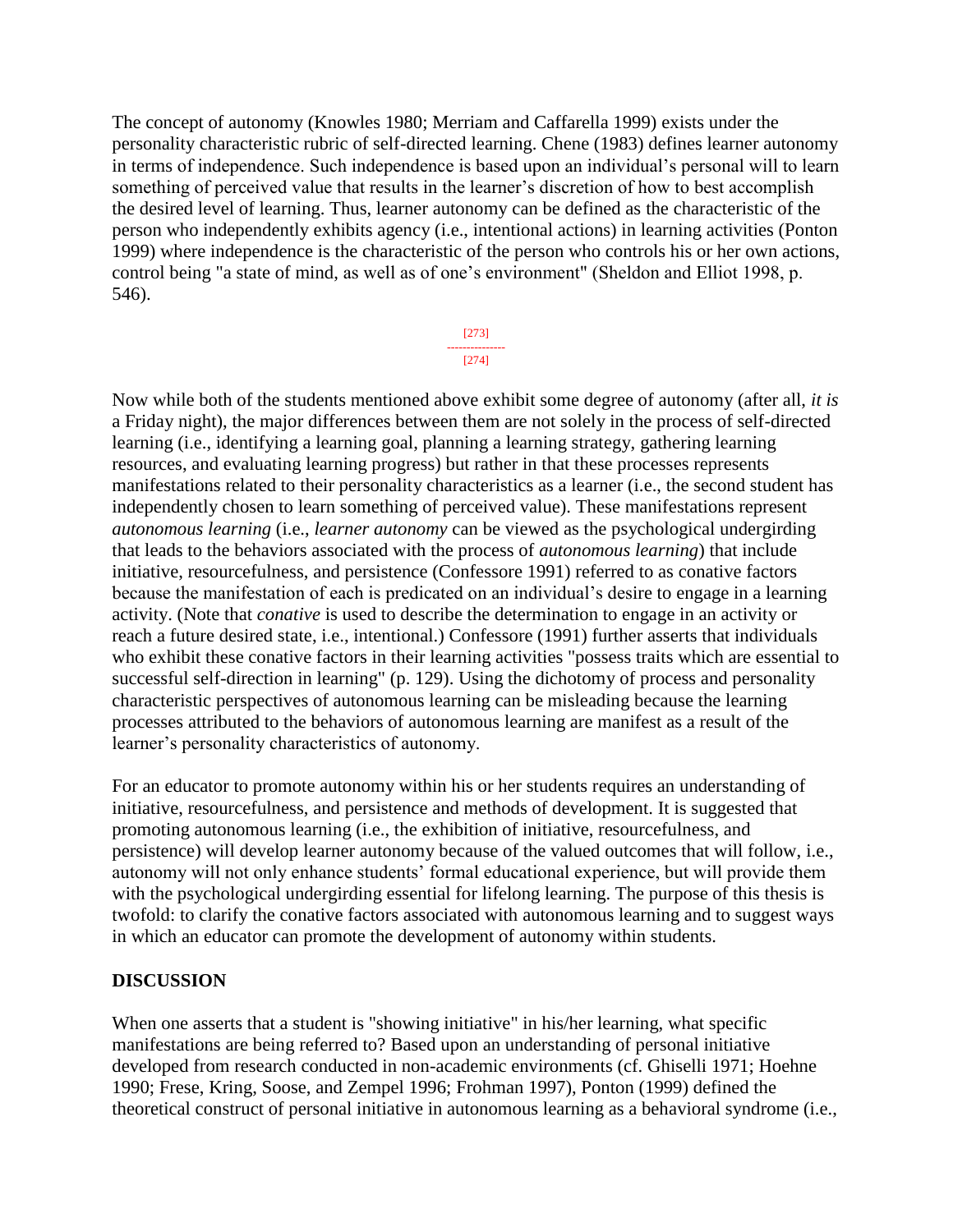The concept of autonomy (Knowles 1980; Merriam and Caffarella 1999) exists under the personality characteristic rubric of self-directed learning. Chene (1983) defines learner autonomy in terms of independence. Such independence is based upon an individual's personal will to learn something of perceived value that results in the learner's discretion of how to best accomplish the desired level of learning. Thus, learner autonomy can be defined as the characteristic of the person who independently exhibits agency (i.e., intentional actions) in learning activities (Ponton 1999) where independence is the characteristic of the person who controls his or her own actions, control being "a state of mind, as well as of one's environment" (Sheldon and Elliot 1998, p. 546).

> [273] --------------- [274]

Now while both of the students mentioned above exhibit some degree of autonomy (after all, *it is*  a Friday night), the major differences between them are not solely in the process of self-directed learning (i.e., identifying a learning goal, planning a learning strategy, gathering learning resources, and evaluating learning progress) but rather in that these processes represents manifestations related to their personality characteristics as a learner (i.e., the second student has independently chosen to learn something of perceived value). These manifestations represent *autonomous learning* (i.e., *learner autonomy* can be viewed as the psychological undergirding that leads to the behaviors associated with the process of *autonomous learning*) that include initiative, resourcefulness, and persistence (Confessore 1991) referred to as conative factors because the manifestation of each is predicated on an individual's desire to engage in a learning activity. (Note that *conative* is used to describe the determination to engage in an activity or reach a future desired state, i.e., intentional.) Confessore (1991) further asserts that individuals who exhibit these conative factors in their learning activities "possess traits which are essential to successful self-direction in learning" (p. 129). Using the dichotomy of process and personality characteristic perspectives of autonomous learning can be misleading because the learning processes attributed to the behaviors of autonomous learning are manifest as a result of the learner's personality characteristics of autonomy.

For an educator to promote autonomy within his or her students requires an understanding of initiative, resourcefulness, and persistence and methods of development. It is suggested that promoting autonomous learning (i.e., the exhibition of initiative, resourcefulness, and persistence) will develop learner autonomy because of the valued outcomes that will follow, i.e., autonomy will not only enhance students' formal educational experience, but will provide them with the psychological undergirding essential for lifelong learning. The purpose of this thesis is twofold: to clarify the conative factors associated with autonomous learning and to suggest ways in which an educator can promote the development of autonomy within students.

#### **DISCUSSION**

When one asserts that a student is "showing initiative" in his/her learning, what specific manifestations are being referred to? Based upon an understanding of personal initiative developed from research conducted in non-academic environments (cf. Ghiselli 1971; Hoehne 1990; Frese, Kring, Soose, and Zempel 1996; Frohman 1997), Ponton (1999) defined the theoretical construct of personal initiative in autonomous learning as a behavioral syndrome (i.e.,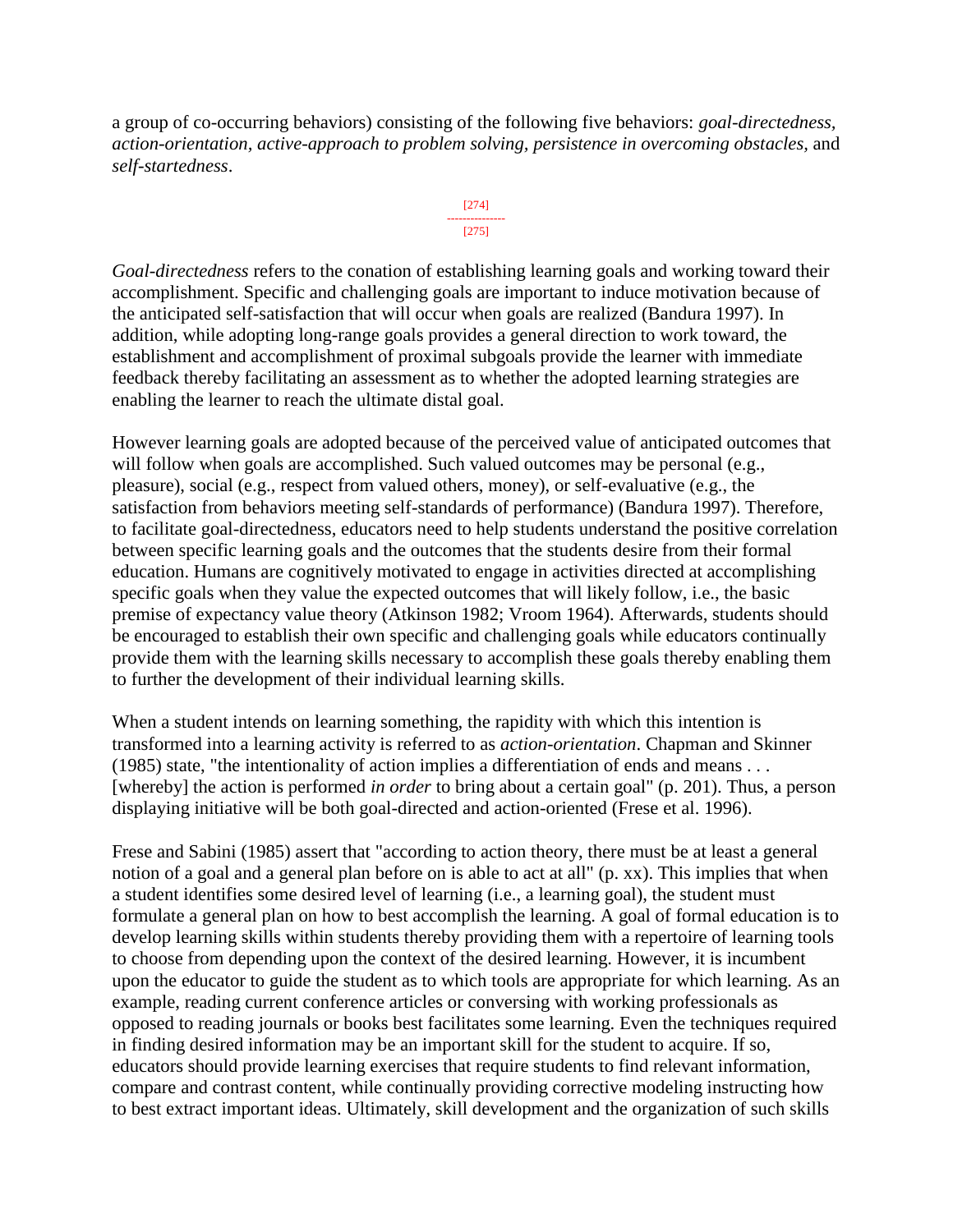a group of co-occurring behaviors) consisting of the following five behaviors: *goal-directedness, action-orientation, active-approach to problem solving, persistence in overcoming obstacles,* and *self-startedness*.



*Goal-directedness* refers to the conation of establishing learning goals and working toward their accomplishment. Specific and challenging goals are important to induce motivation because of the anticipated self-satisfaction that will occur when goals are realized (Bandura 1997). In addition, while adopting long-range goals provides a general direction to work toward, the establishment and accomplishment of proximal subgoals provide the learner with immediate feedback thereby facilitating an assessment as to whether the adopted learning strategies are enabling the learner to reach the ultimate distal goal.

However learning goals are adopted because of the perceived value of anticipated outcomes that will follow when goals are accomplished. Such valued outcomes may be personal (e.g., pleasure), social (e.g., respect from valued others, money), or self-evaluative (e.g., the satisfaction from behaviors meeting self-standards of performance) (Bandura 1997). Therefore, to facilitate goal-directedness, educators need to help students understand the positive correlation between specific learning goals and the outcomes that the students desire from their formal education. Humans are cognitively motivated to engage in activities directed at accomplishing specific goals when they value the expected outcomes that will likely follow, i.e., the basic premise of expectancy value theory (Atkinson 1982; Vroom 1964). Afterwards, students should be encouraged to establish their own specific and challenging goals while educators continually provide them with the learning skills necessary to accomplish these goals thereby enabling them to further the development of their individual learning skills.

When a student intends on learning something, the rapidity with which this intention is transformed into a learning activity is referred to as *action-orientation*. Chapman and Skinner (1985) state, "the intentionality of action implies a differentiation of ends and means . . . [whereby] the action is performed *in order* to bring about a certain goal" (p. 201). Thus, a person displaying initiative will be both goal-directed and action-oriented (Frese et al. 1996).

Frese and Sabini (1985) assert that "according to action theory, there must be at least a general notion of a goal and a general plan before on is able to act at all" (p. xx). This implies that when a student identifies some desired level of learning (i.e., a learning goal), the student must formulate a general plan on how to best accomplish the learning. A goal of formal education is to develop learning skills within students thereby providing them with a repertoire of learning tools to choose from depending upon the context of the desired learning. However, it is incumbent upon the educator to guide the student as to which tools are appropriate for which learning. As an example, reading current conference articles or conversing with working professionals as opposed to reading journals or books best facilitates some learning. Even the techniques required in finding desired information may be an important skill for the student to acquire. If so, educators should provide learning exercises that require students to find relevant information, compare and contrast content, while continually providing corrective modeling instructing how to best extract important ideas. Ultimately, skill development and the organization of such skills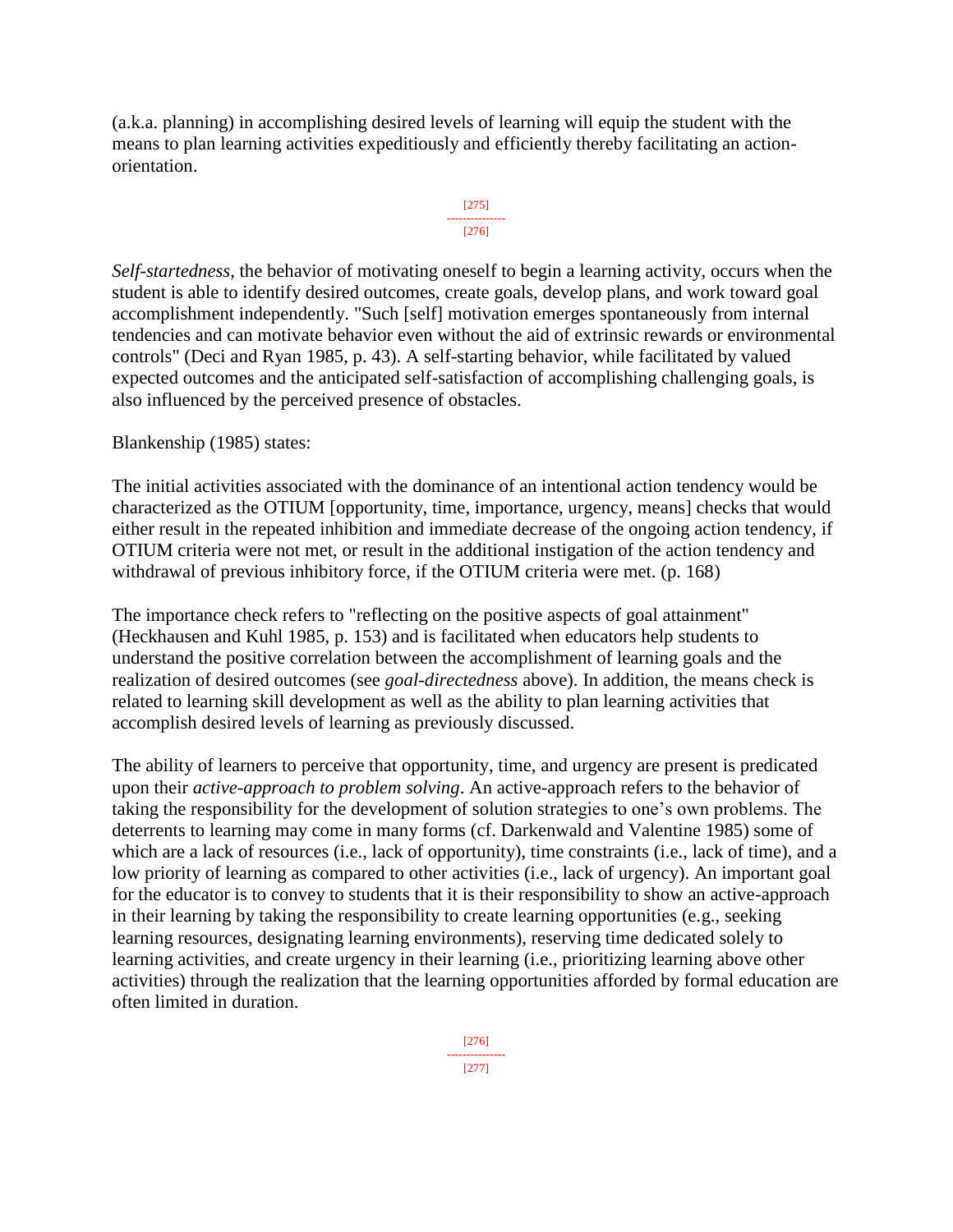(a.k.a. planning) in accomplishing desired levels of learning will equip the student with the means to plan learning activities expeditiously and efficiently thereby facilitating an actionorientation.



*Self-startedness*, the behavior of motivating oneself to begin a learning activity, occurs when the student is able to identify desired outcomes, create goals, develop plans, and work toward goal accomplishment independently. "Such [self] motivation emerges spontaneously from internal tendencies and can motivate behavior even without the aid of extrinsic rewards or environmental controls" (Deci and Ryan 1985, p. 43). A self-starting behavior, while facilitated by valued expected outcomes and the anticipated self-satisfaction of accomplishing challenging goals, is also influenced by the perceived presence of obstacles.

Blankenship (1985) states:

The initial activities associated with the dominance of an intentional action tendency would be characterized as the OTIUM [opportunity, time, importance, urgency, means] checks that would either result in the repeated inhibition and immediate decrease of the ongoing action tendency, if OTIUM criteria were not met, or result in the additional instigation of the action tendency and withdrawal of previous inhibitory force, if the OTIUM criteria were met. (p. 168)

The importance check refers to "reflecting on the positive aspects of goal attainment" (Heckhausen and Kuhl 1985, p. 153) and is facilitated when educators help students to understand the positive correlation between the accomplishment of learning goals and the realization of desired outcomes (see *goal-directedness* above). In addition, the means check is related to learning skill development as well as the ability to plan learning activities that accomplish desired levels of learning as previously discussed.

The ability of learners to perceive that opportunity, time, and urgency are present is predicated upon their *active-approach to problem solving*. An active-approach refers to the behavior of taking the responsibility for the development of solution strategies to one's own problems. The deterrents to learning may come in many forms (cf. Darkenwald and Valentine 1985) some of which are a lack of resources (i.e., lack of opportunity), time constraints (i.e., lack of time), and a low priority of learning as compared to other activities (i.e., lack of urgency). An important goal for the educator is to convey to students that it is their responsibility to show an active-approach in their learning by taking the responsibility to create learning opportunities (e.g., seeking learning resources, designating learning environments), reserving time dedicated solely to learning activities, and create urgency in their learning (i.e., prioritizing learning above other activities) through the realization that the learning opportunities afforded by formal education are often limited in duration.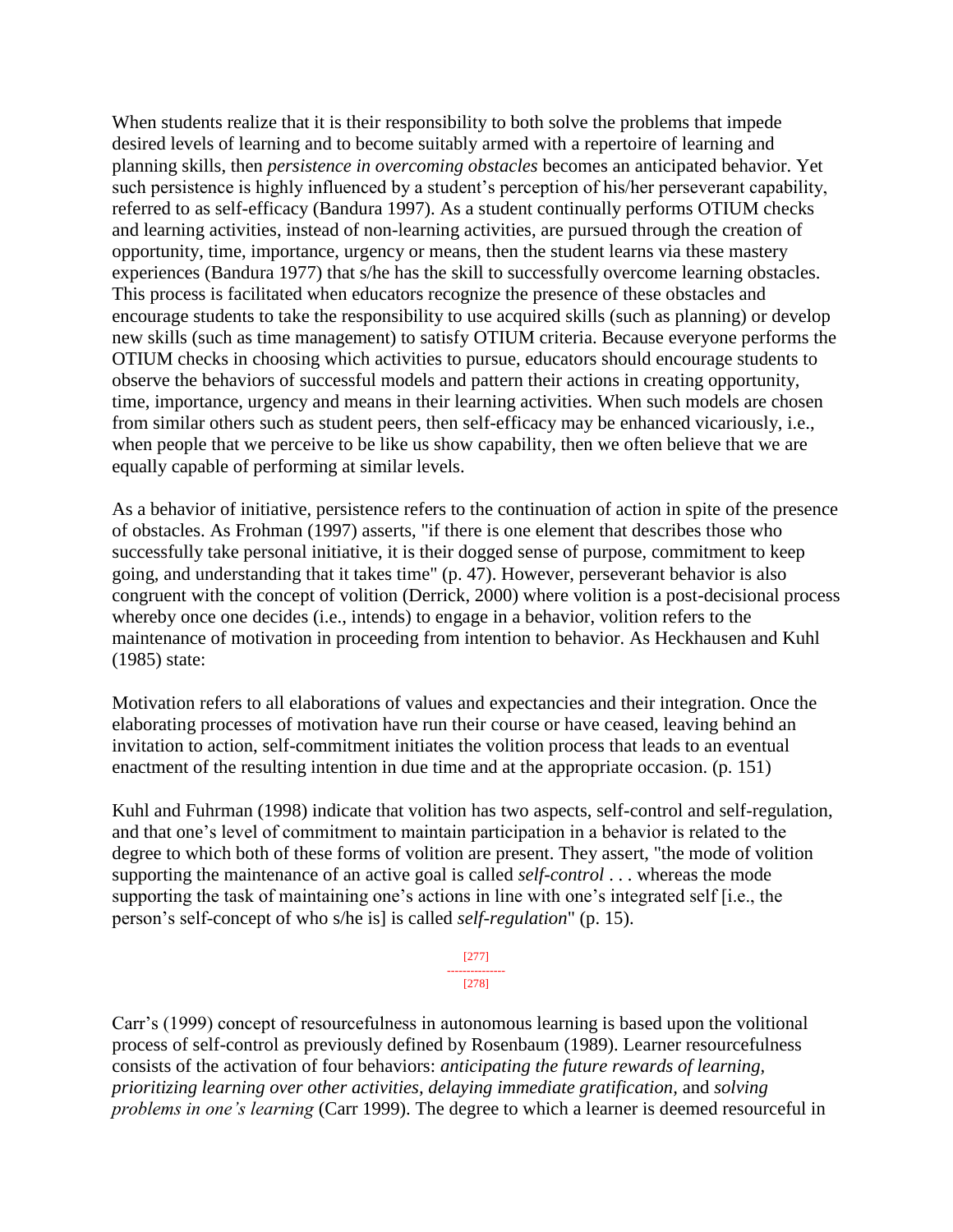When students realize that it is their responsibility to both solve the problems that impede desired levels of learning and to become suitably armed with a repertoire of learning and planning skills, then *persistence in overcoming obstacles* becomes an anticipated behavior. Yet such persistence is highly influenced by a student's perception of his/her perseverant capability, referred to as self-efficacy (Bandura 1997). As a student continually performs OTIUM checks and learning activities, instead of non-learning activities, are pursued through the creation of opportunity, time, importance, urgency or means, then the student learns via these mastery experiences (Bandura 1977) that s/he has the skill to successfully overcome learning obstacles. This process is facilitated when educators recognize the presence of these obstacles and encourage students to take the responsibility to use acquired skills (such as planning) or develop new skills (such as time management) to satisfy OTIUM criteria. Because everyone performs the OTIUM checks in choosing which activities to pursue, educators should encourage students to observe the behaviors of successful models and pattern their actions in creating opportunity, time, importance, urgency and means in their learning activities. When such models are chosen from similar others such as student peers, then self-efficacy may be enhanced vicariously, i.e., when people that we perceive to be like us show capability, then we often believe that we are equally capable of performing at similar levels.

As a behavior of initiative, persistence refers to the continuation of action in spite of the presence of obstacles. As Frohman (1997) asserts, "if there is one element that describes those who successfully take personal initiative, it is their dogged sense of purpose, commitment to keep going, and understanding that it takes time" (p. 47). However, perseverant behavior is also congruent with the concept of volition (Derrick, 2000) where volition is a post-decisional process whereby once one decides (i.e., intends) to engage in a behavior, volition refers to the maintenance of motivation in proceeding from intention to behavior. As Heckhausen and Kuhl (1985) state:

Motivation refers to all elaborations of values and expectancies and their integration. Once the elaborating processes of motivation have run their course or have ceased, leaving behind an invitation to action, self-commitment initiates the volition process that leads to an eventual enactment of the resulting intention in due time and at the appropriate occasion. (p. 151)

Kuhl and Fuhrman (1998) indicate that volition has two aspects, self-control and self-regulation, and that one's level of commitment to maintain participation in a behavior is related to the degree to which both of these forms of volition are present. They assert, "the mode of volition supporting the maintenance of an active goal is called *self-control* . . . whereas the mode supporting the task of maintaining one's actions in line with one's integrated self [i.e., the person's self-concept of who s/he is] is called *self-regulation*" (p. 15).



Carr's (1999) concept of resourcefulness in autonomous learning is based upon the volitional process of self-control as previously defined by Rosenbaum (1989). Learner resourcefulness consists of the activation of four behaviors: *anticipating the future rewards of learning, prioritizing learning over other activities, delaying immediate gratification,* and *solving problems in one's learning* (Carr 1999). The degree to which a learner is deemed resourceful in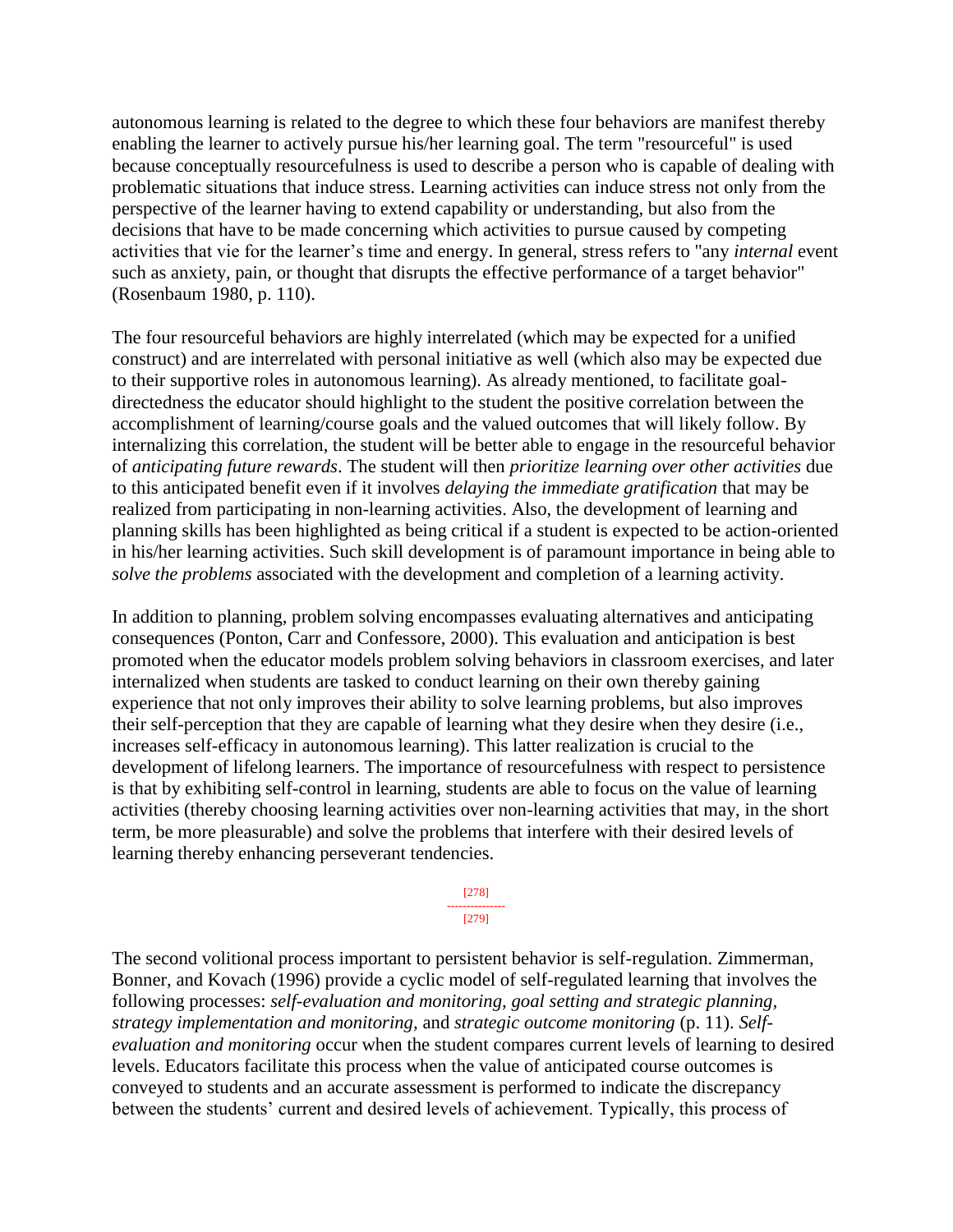autonomous learning is related to the degree to which these four behaviors are manifest thereby enabling the learner to actively pursue his/her learning goal. The term "resourceful" is used because conceptually resourcefulness is used to describe a person who is capable of dealing with problematic situations that induce stress. Learning activities can induce stress not only from the perspective of the learner having to extend capability or understanding, but also from the decisions that have to be made concerning which activities to pursue caused by competing activities that vie for the learner's time and energy. In general, stress refers to "any *internal* event such as anxiety, pain, or thought that disrupts the effective performance of a target behavior" (Rosenbaum 1980, p. 110).

The four resourceful behaviors are highly interrelated (which may be expected for a unified construct) and are interrelated with personal initiative as well (which also may be expected due to their supportive roles in autonomous learning). As already mentioned, to facilitate goaldirectedness the educator should highlight to the student the positive correlation between the accomplishment of learning/course goals and the valued outcomes that will likely follow. By internalizing this correlation, the student will be better able to engage in the resourceful behavior of *anticipating future rewards*. The student will then *prioritize learning over other activities* due to this anticipated benefit even if it involves *delaying the immediate gratification* that may be realized from participating in non-learning activities. Also, the development of learning and planning skills has been highlighted as being critical if a student is expected to be action-oriented in his/her learning activities. Such skill development is of paramount importance in being able to *solve the problems* associated with the development and completion of a learning activity.

In addition to planning, problem solving encompasses evaluating alternatives and anticipating consequences (Ponton, Carr and Confessore, 2000). This evaluation and anticipation is best promoted when the educator models problem solving behaviors in classroom exercises, and later internalized when students are tasked to conduct learning on their own thereby gaining experience that not only improves their ability to solve learning problems, but also improves their self-perception that they are capable of learning what they desire when they desire (i.e., increases self-efficacy in autonomous learning). This latter realization is crucial to the development of lifelong learners. The importance of resourcefulness with respect to persistence is that by exhibiting self-control in learning, students are able to focus on the value of learning activities (thereby choosing learning activities over non-learning activities that may, in the short term, be more pleasurable) and solve the problems that interfere with their desired levels of learning thereby enhancing perseverant tendencies.

> [278] --------------- [279]

The second volitional process important to persistent behavior is self-regulation. Zimmerman, Bonner, and Kovach (1996) provide a cyclic model of self-regulated learning that involves the following processes: *self-evaluation and monitoring, goal setting and strategic planning, strategy implementation and monitoring,* and *strategic outcome monitoring* (p. 11). *Selfevaluation and monitoring* occur when the student compares current levels of learning to desired levels. Educators facilitate this process when the value of anticipated course outcomes is conveyed to students and an accurate assessment is performed to indicate the discrepancy between the students' current and desired levels of achievement. Typically, this process of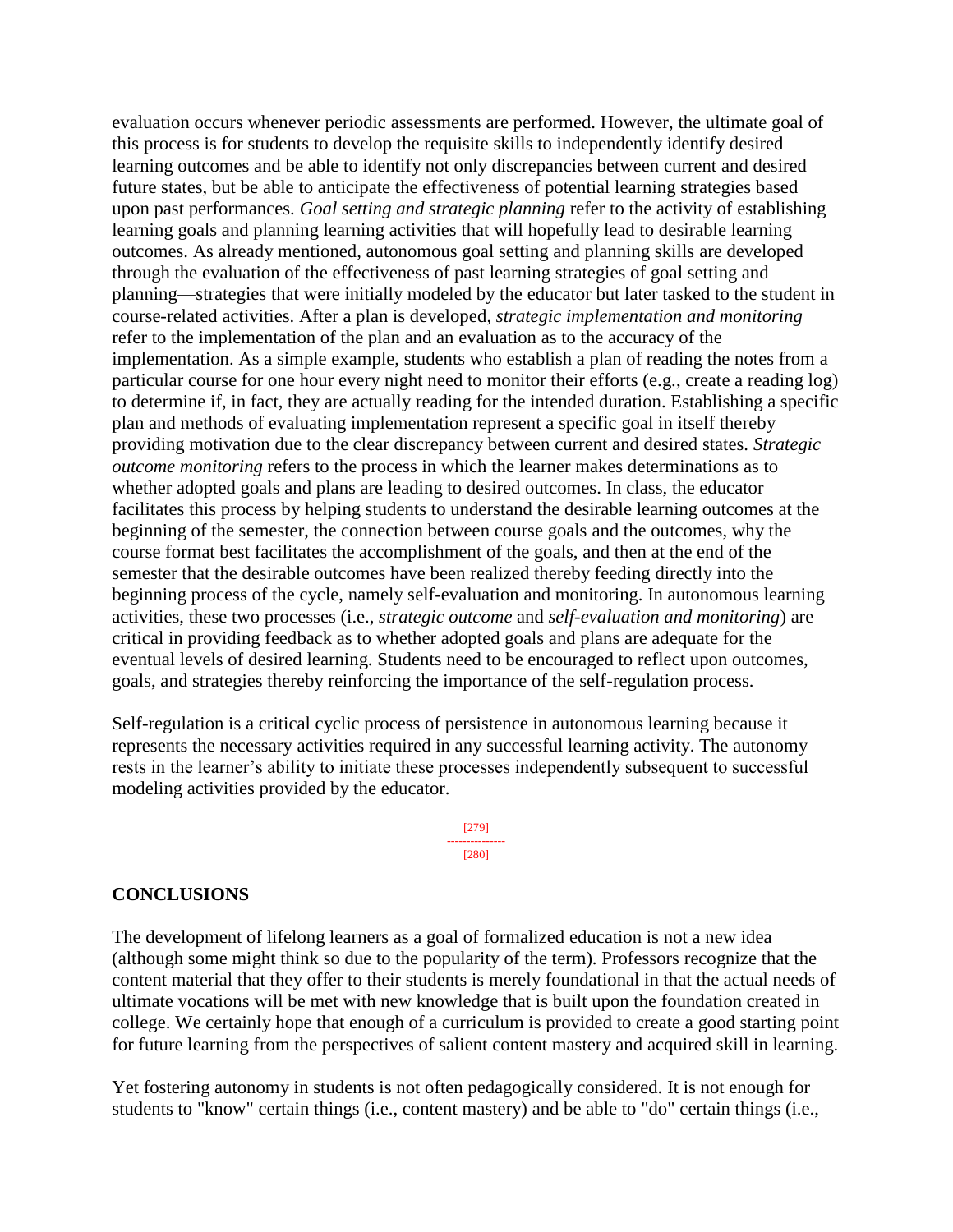evaluation occurs whenever periodic assessments are performed. However, the ultimate goal of this process is for students to develop the requisite skills to independently identify desired learning outcomes and be able to identify not only discrepancies between current and desired future states, but be able to anticipate the effectiveness of potential learning strategies based upon past performances. *Goal setting and strategic planning* refer to the activity of establishing learning goals and planning learning activities that will hopefully lead to desirable learning outcomes. As already mentioned, autonomous goal setting and planning skills are developed through the evaluation of the effectiveness of past learning strategies of goal setting and planning—strategies that were initially modeled by the educator but later tasked to the student in course-related activities. After a plan is developed, *strategic implementation and monitoring* refer to the implementation of the plan and an evaluation as to the accuracy of the implementation. As a simple example, students who establish a plan of reading the notes from a particular course for one hour every night need to monitor their efforts (e.g., create a reading log) to determine if, in fact, they are actually reading for the intended duration. Establishing a specific plan and methods of evaluating implementation represent a specific goal in itself thereby providing motivation due to the clear discrepancy between current and desired states. *Strategic outcome monitoring* refers to the process in which the learner makes determinations as to whether adopted goals and plans are leading to desired outcomes. In class, the educator facilitates this process by helping students to understand the desirable learning outcomes at the beginning of the semester, the connection between course goals and the outcomes, why the course format best facilitates the accomplishment of the goals, and then at the end of the semester that the desirable outcomes have been realized thereby feeding directly into the beginning process of the cycle, namely self-evaluation and monitoring. In autonomous learning activities, these two processes (i.e., *strategic outcome* and *self-evaluation and monitoring*) are critical in providing feedback as to whether adopted goals and plans are adequate for the eventual levels of desired learning. Students need to be encouraged to reflect upon outcomes, goals, and strategies thereby reinforcing the importance of the self-regulation process.

Self-regulation is a critical cyclic process of persistence in autonomous learning because it represents the necessary activities required in any successful learning activity. The autonomy rests in the learner's ability to initiate these processes independently subsequent to successful modeling activities provided by the educator.

> [279] --------------- [280]

#### **CONCLUSIONS**

The development of lifelong learners as a goal of formalized education is not a new idea (although some might think so due to the popularity of the term). Professors recognize that the content material that they offer to their students is merely foundational in that the actual needs of ultimate vocations will be met with new knowledge that is built upon the foundation created in college. We certainly hope that enough of a curriculum is provided to create a good starting point for future learning from the perspectives of salient content mastery and acquired skill in learning.

Yet fostering autonomy in students is not often pedagogically considered. It is not enough for students to "know" certain things (i.e., content mastery) and be able to "do" certain things (i.e.,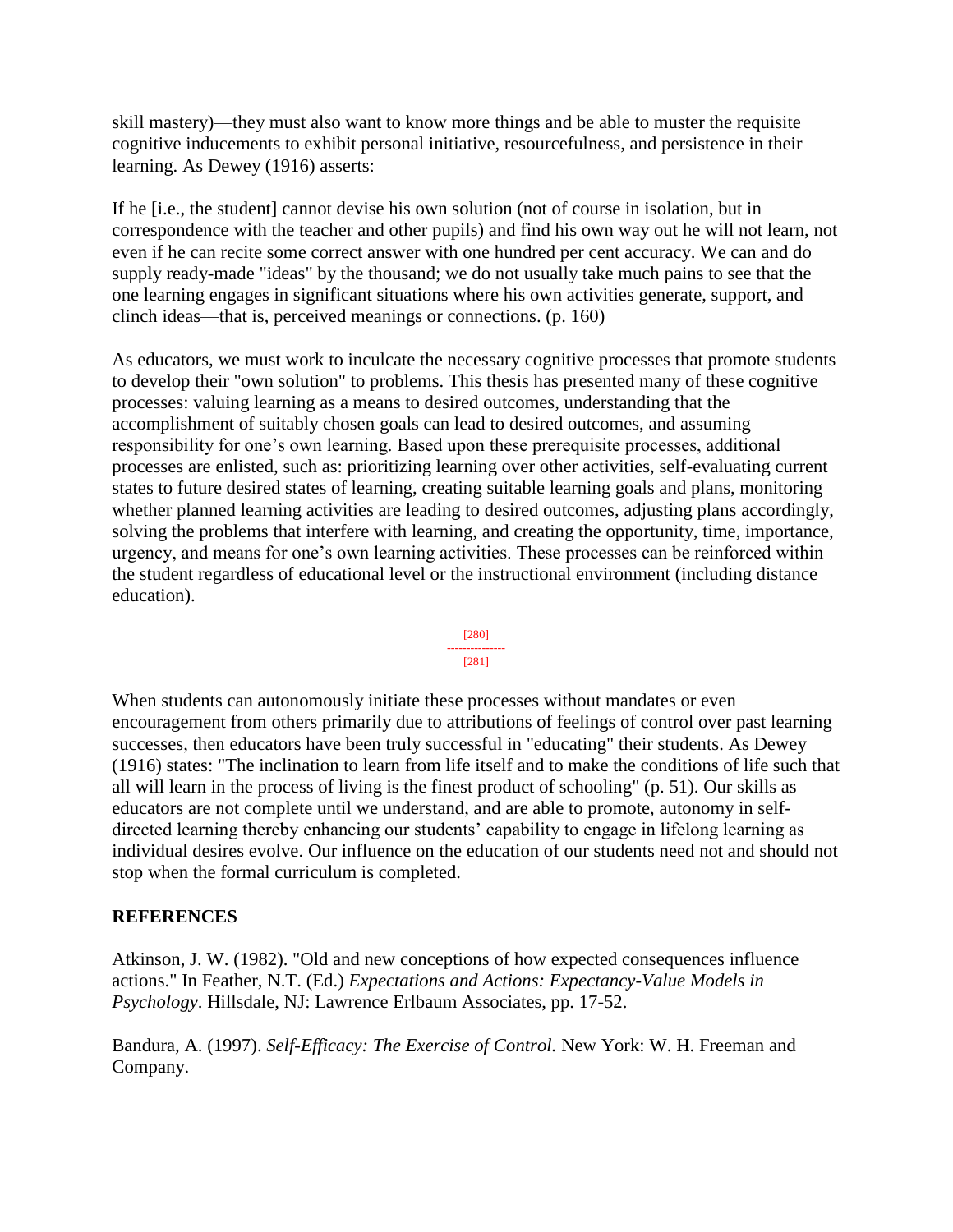skill mastery)—they must also want to know more things and be able to muster the requisite cognitive inducements to exhibit personal initiative, resourcefulness, and persistence in their learning. As Dewey (1916) asserts:

If he [i.e., the student] cannot devise his own solution (not of course in isolation, but in correspondence with the teacher and other pupils) and find his own way out he will not learn, not even if he can recite some correct answer with one hundred per cent accuracy. We can and do supply ready-made "ideas" by the thousand; we do not usually take much pains to see that the one learning engages in significant situations where his own activities generate, support, and clinch ideas—that is, perceived meanings or connections. (p. 160)

As educators, we must work to inculcate the necessary cognitive processes that promote students to develop their "own solution" to problems. This thesis has presented many of these cognitive processes: valuing learning as a means to desired outcomes, understanding that the accomplishment of suitably chosen goals can lead to desired outcomes, and assuming responsibility for one's own learning. Based upon these prerequisite processes, additional processes are enlisted, such as: prioritizing learning over other activities, self-evaluating current states to future desired states of learning, creating suitable learning goals and plans, monitoring whether planned learning activities are leading to desired outcomes, adjusting plans accordingly, solving the problems that interfere with learning, and creating the opportunity, time, importance, urgency, and means for one's own learning activities. These processes can be reinforced within the student regardless of educational level or the instructional environment (including distance education).



When students can autonomously initiate these processes without mandates or even encouragement from others primarily due to attributions of feelings of control over past learning successes, then educators have been truly successful in "educating" their students. As Dewey (1916) states: "The inclination to learn from life itself and to make the conditions of life such that all will learn in the process of living is the finest product of schooling" (p. 51). Our skills as educators are not complete until we understand, and are able to promote, autonomy in selfdirected learning thereby enhancing our students' capability to engage in lifelong learning as individual desires evolve. Our influence on the education of our students need not and should not stop when the formal curriculum is completed.

## **REFERENCES**

Atkinson, J. W. (1982). "Old and new conceptions of how expected consequences influence actions." In Feather, N.T. (Ed.) *Expectations and Actions: Expectancy-Value Models in Psychology*. Hillsdale, NJ: Lawrence Erlbaum Associates, pp. 17-52.

Bandura, A. (1997). *Self-Efficacy: The Exercise of Control.* New York: W. H. Freeman and Company.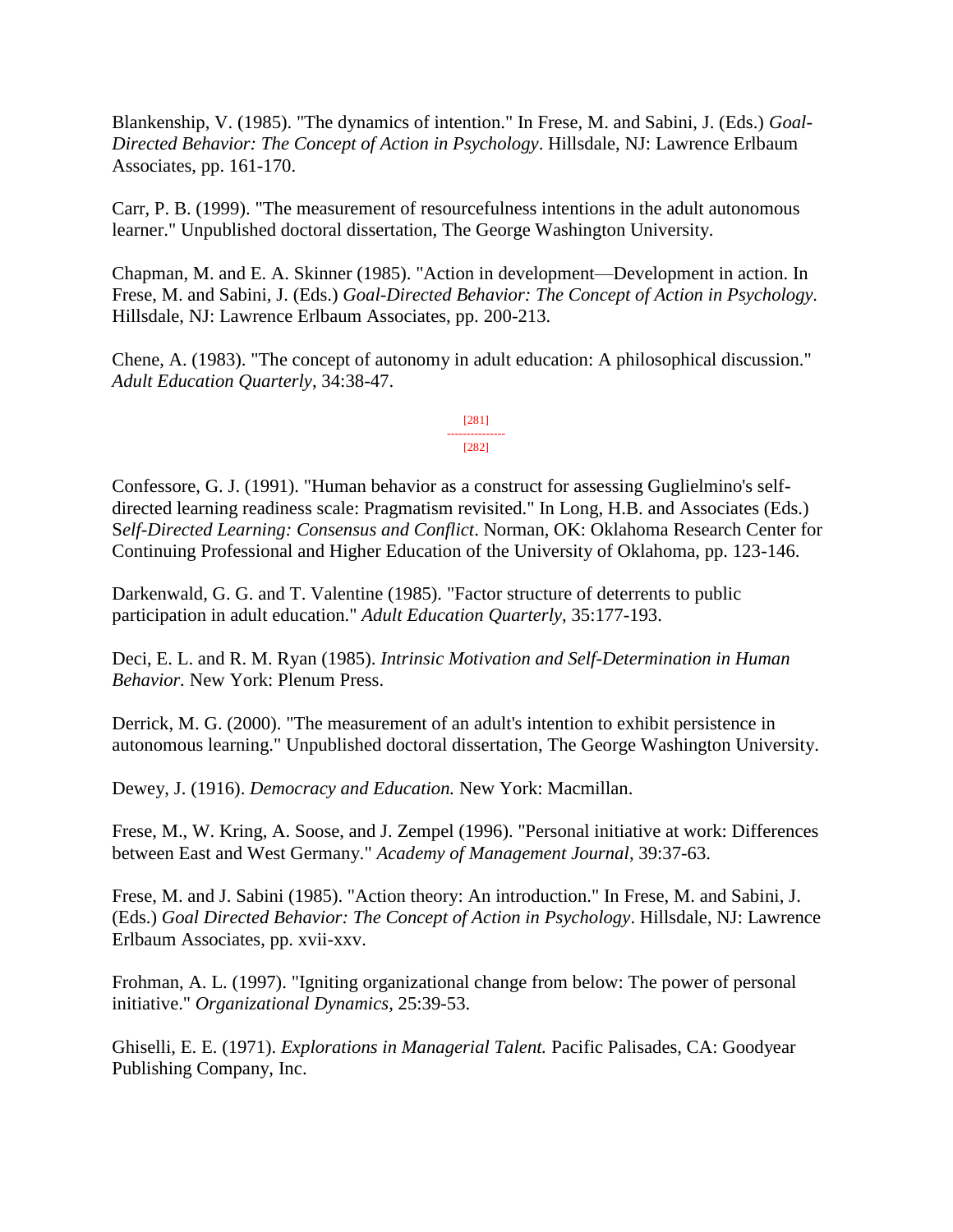Blankenship, V. (1985). "The dynamics of intention." In Frese, M. and Sabini, J. (Eds.) *Goal-Directed Behavior: The Concept of Action in Psychology*. Hillsdale, NJ: Lawrence Erlbaum Associates, pp. 161-170.

Carr, P. B. (1999). "The measurement of resourcefulness intentions in the adult autonomous learner." Unpublished doctoral dissertation, The George Washington University.

Chapman, M. and E. A. Skinner (1985). "Action in development—Development in action. In Frese, M. and Sabini, J. (Eds.) *Goal-Directed Behavior: The Concept of Action in Psychology.* Hillsdale, NJ: Lawrence Erlbaum Associates, pp. 200-213.

Chene, A. (1983). "The concept of autonomy in adult education: A philosophical discussion." *Adult Education Quarterly*, 34:38-47.

> [281] --------------- [282]

Confessore, G. J. (1991). "Human behavior as a construct for assessing Guglielmino's selfdirected learning readiness scale: Pragmatism revisited." In Long, H.B. and Associates (Eds.) S*elf-Directed Learning: Consensus and Conflict*. Norman, OK: Oklahoma Research Center for Continuing Professional and Higher Education of the University of Oklahoma, pp. 123-146.

Darkenwald, G. G. and T. Valentine (1985). "Factor structure of deterrents to public participation in adult education." *Adult Education Quarterly*, 35:177-193.

Deci, E. L. and R. M. Ryan (1985). *Intrinsic Motivation and Self-Determination in Human Behavior.* New York: Plenum Press.

Derrick, M. G. (2000). "The measurement of an adult's intention to exhibit persistence in autonomous learning." Unpublished doctoral dissertation, The George Washington University.

Dewey, J. (1916). *Democracy and Education.* New York: Macmillan.

Frese, M., W. Kring, A. Soose, and J. Zempel (1996). "Personal initiative at work: Differences between East and West Germany." *Academy of Management Journal*, 39:37-63.

Frese, M. and J. Sabini (1985). "Action theory: An introduction." In Frese, M. and Sabini, J. (Eds.) *Goal Directed Behavior: The Concept of Action in Psychology*. Hillsdale, NJ: Lawrence Erlbaum Associates, pp. xvii-xxv.

Frohman, A. L. (1997). "Igniting organizational change from below: The power of personal initiative." *Organizational Dynamics*, 25:39-53.

Ghiselli, E. E. (1971). *Explorations in Managerial Talent.* Pacific Palisades, CA: Goodyear Publishing Company, Inc.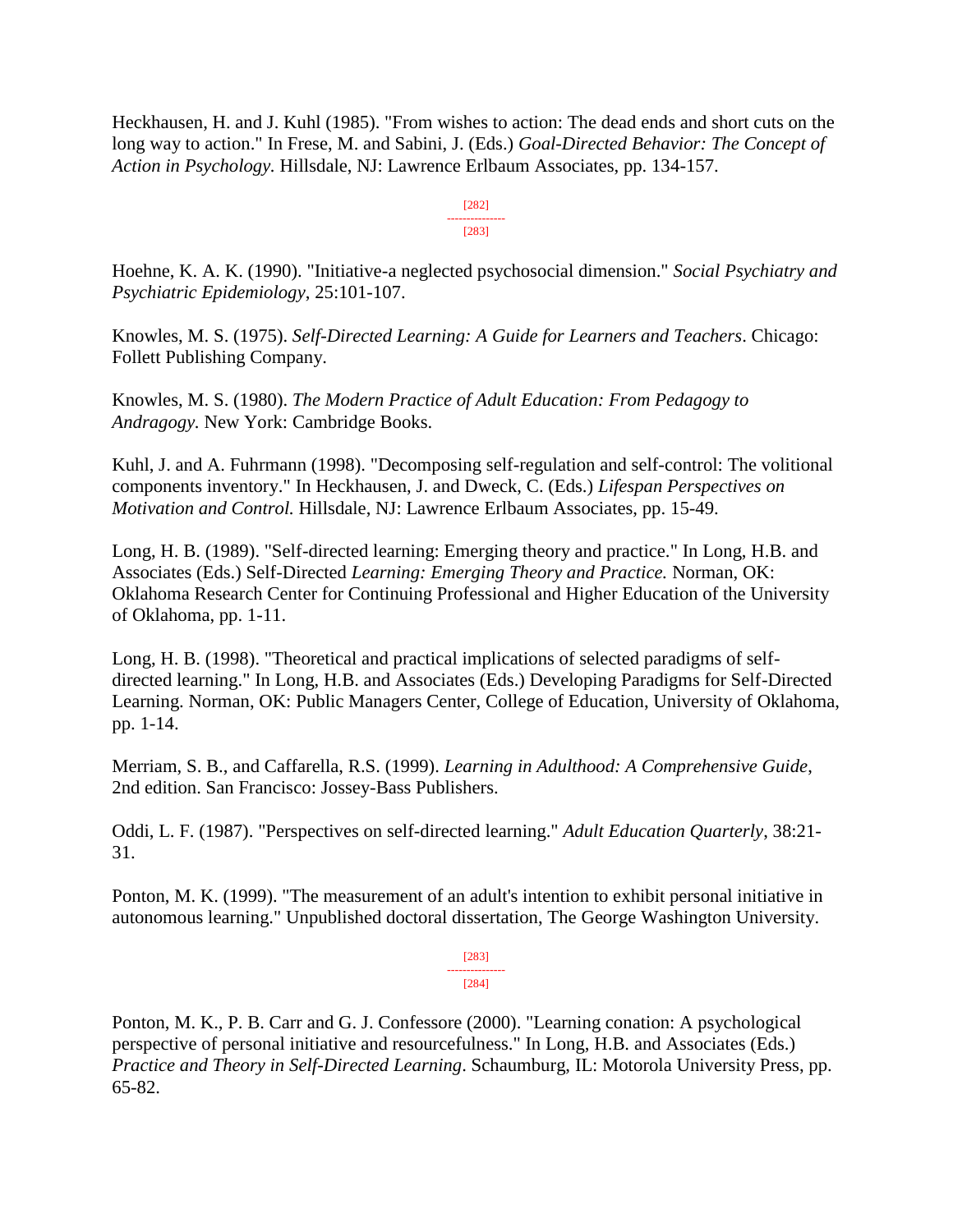Heckhausen, H. and J. Kuhl (1985). "From wishes to action: The dead ends and short cuts on the long way to action." In Frese, M. and Sabini, J. (Eds.) *Goal-Directed Behavior: The Concept of Action in Psychology.* Hillsdale, NJ: Lawrence Erlbaum Associates, pp. 134-157.

> [282] --------------- [283]

Hoehne, K. A. K. (1990). "Initiative-a neglected psychosocial dimension." *Social Psychiatry and Psychiatric Epidemiology*, 25:101-107.

Knowles, M. S. (1975). *Self-Directed Learning: A Guide for Learners and Teachers*. Chicago: Follett Publishing Company.

Knowles, M. S. (1980). *The Modern Practice of Adult Education: From Pedagogy to Andragogy.* New York: Cambridge Books.

Kuhl, J. and A. Fuhrmann (1998). "Decomposing self-regulation and self-control: The volitional components inventory." In Heckhausen, J. and Dweck, C. (Eds.) *Lifespan Perspectives on Motivation and Control.* Hillsdale, NJ: Lawrence Erlbaum Associates, pp. 15-49.

Long, H. B. (1989). "Self-directed learning: Emerging theory and practice." In Long, H.B. and Associates (Eds.) Self-Directed *Learning: Emerging Theory and Practice.* Norman, OK: Oklahoma Research Center for Continuing Professional and Higher Education of the University of Oklahoma, pp. 1-11.

Long, H. B. (1998). "Theoretical and practical implications of selected paradigms of selfdirected learning." In Long, H.B. and Associates (Eds.) Developing Paradigms for Self-Directed Learning. Norman, OK: Public Managers Center, College of Education, University of Oklahoma, pp. 1-14.

Merriam, S. B., and Caffarella, R.S. (1999). *Learning in Adulthood: A Comprehensive Guide*, 2nd edition. San Francisco: Jossey-Bass Publishers.

Oddi, L. F. (1987). "Perspectives on self-directed learning." *Adult Education Quarterly*, 38:21- 31.

Ponton, M. K. (1999). "The measurement of an adult's intention to exhibit personal initiative in autonomous learning." Unpublished doctoral dissertation, The George Washington University.

> [283] --------------- [284]

Ponton, M. K., P. B. Carr and G. J. Confessore (2000). "Learning conation: A psychological perspective of personal initiative and resourcefulness." In Long, H.B. and Associates (Eds.) *Practice and Theory in Self-Directed Learning*. Schaumburg, IL: Motorola University Press, pp. 65-82.